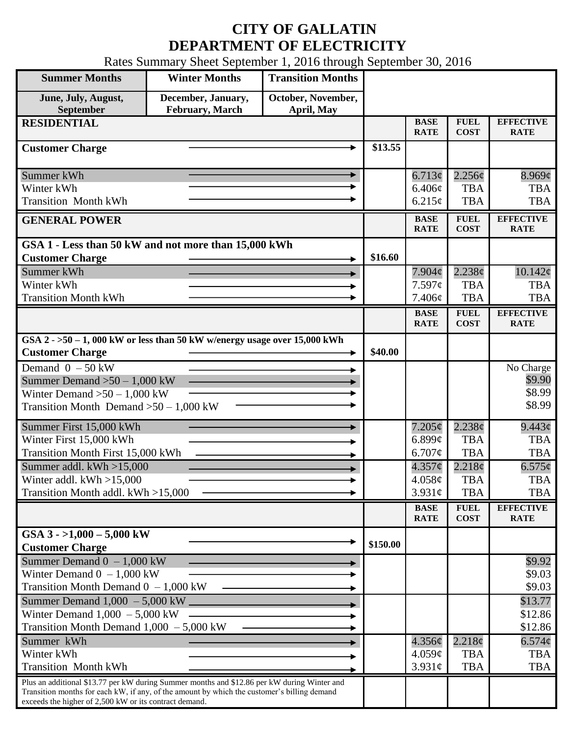## **CITY OF GALLATIN DEPARTMENT OF ELECTRICITY**

Rates Summary Sheet September 1, 2016 through September 30, 2016

| <b>Summer Months</b>                                                                                                                                                                                                                                 | <b>Winter Months</b>                  | <b>Transition Months</b>         |          |                              |                            |                                  |
|------------------------------------------------------------------------------------------------------------------------------------------------------------------------------------------------------------------------------------------------------|---------------------------------------|----------------------------------|----------|------------------------------|----------------------------|----------------------------------|
| June, July, August,<br>September                                                                                                                                                                                                                     | December, January,<br>February, March | October, November,<br>April, May |          |                              |                            |                                  |
| <b>RESIDENTIAL</b>                                                                                                                                                                                                                                   |                                       |                                  |          | <b>BASE</b><br><b>RATE</b>   | <b>FUEL</b><br><b>COST</b> | <b>EFFECTIVE</b><br><b>RATE</b>  |
| <b>Customer Charge</b>                                                                                                                                                                                                                               |                                       |                                  | \$13.55  |                              |                            |                                  |
| Summer kWh<br>Winter kWh                                                                                                                                                                                                                             |                                       |                                  |          | 6.713¢<br>6.406¢             | 2.256¢<br><b>TBA</b>       | $8.969\mathcal{C}$<br><b>TBA</b> |
| <b>Transition Month kWh</b>                                                                                                                                                                                                                          |                                       |                                  |          | 6.215¢                       | <b>TBA</b>                 | <b>TBA</b>                       |
| <b>GENERAL POWER</b>                                                                                                                                                                                                                                 |                                       |                                  |          | <b>BASE</b><br><b>RATE</b>   | <b>FUEL</b><br><b>COST</b> | <b>EFFECTIVE</b><br><b>RATE</b>  |
| GSA 1 - Less than 50 kW and not more than 15,000 kWh                                                                                                                                                                                                 |                                       |                                  |          |                              |                            |                                  |
| <b>Customer Charge</b>                                                                                                                                                                                                                               |                                       |                                  | \$16.60  |                              |                            |                                  |
| Summer kWh<br>Winter kWh                                                                                                                                                                                                                             |                                       |                                  |          | $7.904\phi$<br>7.597c        | 2.238¢<br><b>TBA</b>       | $10.142\phi$<br><b>TBA</b>       |
| <b>Transition Month kWh</b>                                                                                                                                                                                                                          |                                       |                                  |          | 7.406¢                       | <b>TBA</b>                 | <b>TBA</b>                       |
|                                                                                                                                                                                                                                                      |                                       |                                  |          | <b>BASE</b><br><b>RATE</b>   | <b>FUEL</b><br><b>COST</b> | <b>EFFECTIVE</b><br><b>RATE</b>  |
| GSA $2 - 50 - 1$ , 000 kW or less than 50 kW w/energy usage over 15,000 kWh                                                                                                                                                                          |                                       |                                  |          |                              |                            |                                  |
| <b>Customer Charge</b>                                                                                                                                                                                                                               |                                       |                                  | \$40.00  |                              |                            |                                  |
| Demand $0 - 50$ kW                                                                                                                                                                                                                                   |                                       |                                  |          |                              |                            | No Charge                        |
| Summer Demand $>50 - 1,000$ kW                                                                                                                                                                                                                       |                                       |                                  |          |                              |                            | \$9.90                           |
| Winter Demand $>50 - 1,000$ kW                                                                                                                                                                                                                       |                                       |                                  |          |                              |                            | \$8.99<br>\$8.99                 |
| Transition Month Demand $>50-1,000$ kW                                                                                                                                                                                                               |                                       |                                  |          |                              |                            |                                  |
| Summer First 15,000 kWh                                                                                                                                                                                                                              |                                       |                                  |          | 7.205¢                       | 2.238¢                     | $9.443\phi$                      |
| Winter First 15,000 kWh                                                                                                                                                                                                                              |                                       |                                  |          | $6.899\mathcal{C}$           | <b>TBA</b>                 | <b>TBA</b>                       |
| Transition Month First 15,000 kWh                                                                                                                                                                                                                    |                                       |                                  |          | 6.707¢                       | <b>TBA</b>                 | <b>TBA</b>                       |
| Summer addl. kWh >15,000                                                                                                                                                                                                                             |                                       |                                  |          | $4.357\phi$                  | $2.218\phi$                | $6.575\phi$                      |
| Winter addl. $kWh > 15,000$                                                                                                                                                                                                                          |                                       |                                  |          | 4.058¢                       | <b>TBA</b>                 | <b>TBA</b>                       |
| Transition Month addl. kWh >15,000                                                                                                                                                                                                                   |                                       |                                  |          | $3.931\phi$                  | <b>TBA</b>                 | <b>TBA</b>                       |
|                                                                                                                                                                                                                                                      |                                       |                                  |          | <b>BASE</b><br><b>RATE</b>   | <b>FUEL</b><br><b>COST</b> | <b>EFFECTIVE</b><br><b>RATE</b>  |
| GSA $3 - 1,000 - 5,000$ kW<br><b>Customer Charge</b>                                                                                                                                                                                                 |                                       |                                  | \$150.00 |                              |                            |                                  |
| Summer Demand $0 - 1,000$ kW                                                                                                                                                                                                                         |                                       |                                  |          |                              |                            | \$9.92                           |
| Winter Demand $0 - 1,000$ kW                                                                                                                                                                                                                         |                                       |                                  |          |                              |                            | \$9.03                           |
| Transition Month Demand $0 - 1,000$ kW                                                                                                                                                                                                               |                                       |                                  |          |                              |                            | \$9.03                           |
| Summer Demand 1,000 - 5,000 kW                                                                                                                                                                                                                       |                                       |                                  |          |                              |                            | \$13.77                          |
| Winter Demand $1,000 - 5,000$ kW                                                                                                                                                                                                                     |                                       |                                  |          |                              |                            | \$12.86                          |
| Transition Month Demand $1,000 - 5,000$ kW                                                                                                                                                                                                           |                                       |                                  |          |                              |                            | \$12.86                          |
| Summer kWh                                                                                                                                                                                                                                           |                                       |                                  |          | $4.356\phi$                  | 2.218¢                     | $6.574\phi$                      |
| Winter kWh<br><b>Transition Month kWh</b>                                                                                                                                                                                                            |                                       |                                  |          | $4.059\mathcal{C}$<br>3.931¢ | <b>TBA</b><br><b>TBA</b>   | <b>TBA</b><br><b>TBA</b>         |
|                                                                                                                                                                                                                                                      |                                       |                                  |          |                              |                            |                                  |
| Plus an additional \$13.77 per kW during Summer months and \$12.86 per kW during Winter and<br>Transition months for each kW, if any, of the amount by which the customer's billing demand<br>exceeds the higher of 2,500 kW or its contract demand. |                                       |                                  |          |                              |                            |                                  |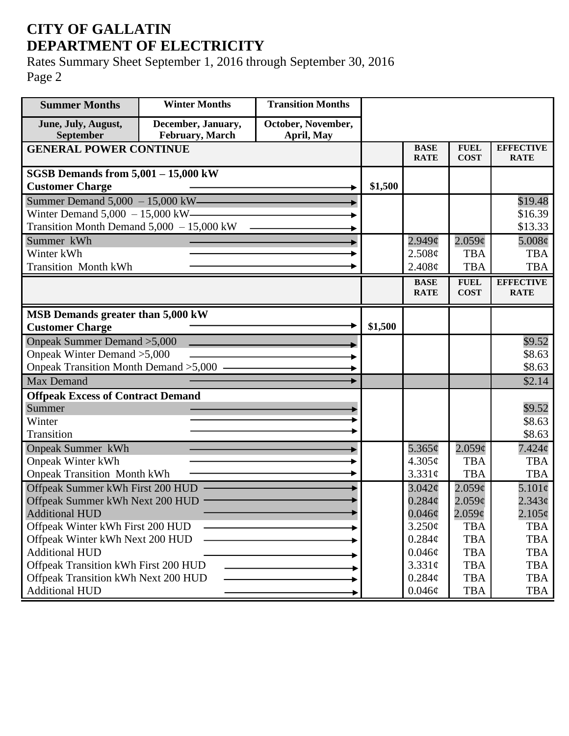## **CITY OF GALLATIN DEPARTMENT OF ELECTRICITY**

Rates Summary Sheet September 1, 2016 through September 30, 2016 Page 2

| <b>Summer Months</b>                                     | <b>Winter Months</b>                  | <b>Transition Months</b>         |         |                            |                            |                                 |
|----------------------------------------------------------|---------------------------------------|----------------------------------|---------|----------------------------|----------------------------|---------------------------------|
| June, July, August,<br>September                         | December, January,<br>February, March | October, November,<br>April, May |         |                            |                            |                                 |
| <b>GENERAL POWER CONTINUE</b>                            |                                       |                                  |         | <b>BASE</b><br><b>RATE</b> | <b>FUEL</b><br><b>COST</b> | <b>EFFECTIVE</b><br><b>RATE</b> |
| SGSB Demands from $5,001 - 15,000$ kW                    |                                       |                                  |         |                            |                            |                                 |
| <b>Customer Charge</b>                                   |                                       |                                  | \$1,500 |                            |                            |                                 |
| Summer Demand $5,000 - 15,000$ kW-                       |                                       |                                  |         |                            |                            | \$19.48                         |
| Winter Demand $5,000 - 15,000$ kW-                       |                                       |                                  |         |                            |                            | \$16.39                         |
| Transition Month Demand $5,000 - 15,000$ kW              |                                       |                                  |         |                            |                            | \$13.33                         |
| Summer kWh                                               |                                       |                                  |         | $2.949\mathcal{C}$         | 2.059¢                     | $5.008\phi$                     |
| Winter kWh                                               |                                       |                                  |         | 2.508¢                     | <b>TBA</b>                 | <b>TBA</b>                      |
| <b>Transition Month kWh</b>                              |                                       |                                  |         | 2.408¢                     | <b>TBA</b>                 | <b>TBA</b>                      |
|                                                          |                                       |                                  |         | <b>BASE</b><br><b>RATE</b> | <b>FUEL</b><br><b>COST</b> | <b>EFFECTIVE</b><br><b>RATE</b> |
|                                                          |                                       |                                  |         |                            |                            |                                 |
| MSB Demands greater than 5,000 kW                        |                                       |                                  |         |                            |                            |                                 |
| <b>Customer Charge</b>                                   |                                       |                                  | \$1,500 |                            |                            |                                 |
| Onpeak Summer Demand > 5,000                             |                                       |                                  |         |                            |                            | \$9.52                          |
| Onpeak Winter Demand > 5,000                             |                                       |                                  |         |                            |                            | \$8.63                          |
| Onpeak Transition Month Demand > 5,000 -                 |                                       |                                  |         |                            |                            | \$8.63                          |
| <b>Max Demand</b>                                        |                                       |                                  |         |                            |                            | \$2.14                          |
| <b>Offpeak Excess of Contract Demand</b>                 |                                       |                                  |         |                            |                            |                                 |
| Summer                                                   |                                       |                                  |         |                            |                            | \$9.52                          |
| Winter                                                   |                                       |                                  |         |                            |                            | \$8.63                          |
| Transition                                               |                                       |                                  |         |                            |                            | \$8.63                          |
| <b>Onpeak Summer kWh</b>                                 |                                       |                                  |         | 5.365 $\phi$               | 2.059¢                     | $7.424\phi$                     |
| <b>Onpeak Winter kWh</b>                                 |                                       |                                  |         | 4.305¢                     | <b>TBA</b>                 | <b>TBA</b>                      |
| <b>Onpeak Transition Month kWh</b>                       |                                       |                                  |         | 3.331¢                     | <b>TBA</b>                 | <b>TBA</b>                      |
| Offpeak Summer kWh First 200 HUD                         |                                       |                                  |         | 3.042¢                     | $2.059\mathcal{C}$         | 5.101¢                          |
| Offpeak Summer kWh Next 200 HUD                          |                                       |                                  |         | $0.284\mathcal{C}$         | $2.059\mathcal{C}$         | $2.343\phi$                     |
| <b>Additional HUD</b>                                    |                                       |                                  |         | $0.046$ ¢                  | $2.059$ ¢                  | $2.105\phi$                     |
| Offpeak Winter kWh First 200 HUD                         |                                       |                                  |         | 3.250¢                     | <b>TBA</b>                 | <b>TBA</b>                      |
| Offpeak Winter kWh Next 200 HUD<br><b>Additional HUD</b> |                                       |                                  |         | $0.284\phi$                | <b>TBA</b>                 | <b>TBA</b>                      |
| Offpeak Transition kWh First 200 HUD                     |                                       |                                  |         | $0.046\phi$<br>3.331¢      | <b>TBA</b><br><b>TBA</b>   | <b>TBA</b>                      |
| Offpeak Transition kWh Next 200 HUD                      |                                       |                                  |         | $0.284\phi$                | <b>TBA</b>                 | <b>TBA</b><br><b>TBA</b>        |
| <b>Additional HUD</b>                                    |                                       |                                  |         | $0.046\phi$                | <b>TBA</b>                 | <b>TBA</b>                      |
|                                                          |                                       |                                  |         |                            |                            |                                 |